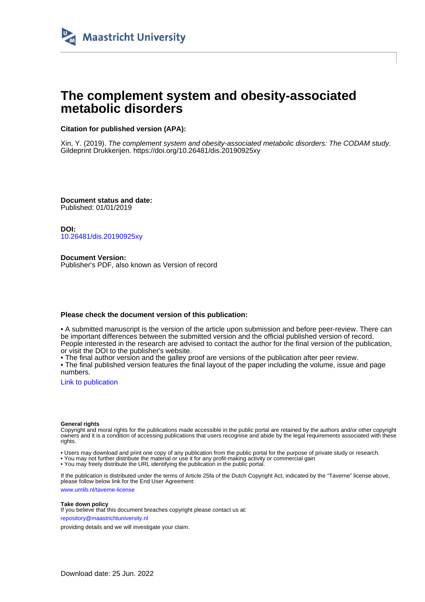

# **The complement system and obesity-associated metabolic disorders**

## **Citation for published version (APA):**

Xin, Y. (2019). The complement system and obesity-associated metabolic disorders: The CODAM study. Gildeprint Drukkerijen. <https://doi.org/10.26481/dis.20190925xy>

**Document status and date:** Published: 01/01/2019

**DOI:** [10.26481/dis.20190925xy](https://doi.org/10.26481/dis.20190925xy)

**Document Version:** Publisher's PDF, also known as Version of record

### **Please check the document version of this publication:**

• A submitted manuscript is the version of the article upon submission and before peer-review. There can be important differences between the submitted version and the official published version of record. People interested in the research are advised to contact the author for the final version of the publication, or visit the DOI to the publisher's website.

• The final author version and the galley proof are versions of the publication after peer review.

• The final published version features the final layout of the paper including the volume, issue and page numbers.

[Link to publication](https://cris.maastrichtuniversity.nl/en/publications/82fea20a-e8e5-471c-8a2c-0f46ac6435bd)

#### **General rights**

Copyright and moral rights for the publications made accessible in the public portal are retained by the authors and/or other copyright owners and it is a condition of accessing publications that users recognise and abide by the legal requirements associated with these rights.

• Users may download and print one copy of any publication from the public portal for the purpose of private study or research.

• You may not further distribute the material or use it for any profit-making activity or commercial gain

• You may freely distribute the URL identifying the publication in the public portal.

If the publication is distributed under the terms of Article 25fa of the Dutch Copyright Act, indicated by the "Taverne" license above, please follow below link for the End User Agreement:

www.umlib.nl/taverne-license

#### **Take down policy**

If you believe that this document breaches copyright please contact us at: repository@maastrichtuniversity.nl

providing details and we will investigate your claim.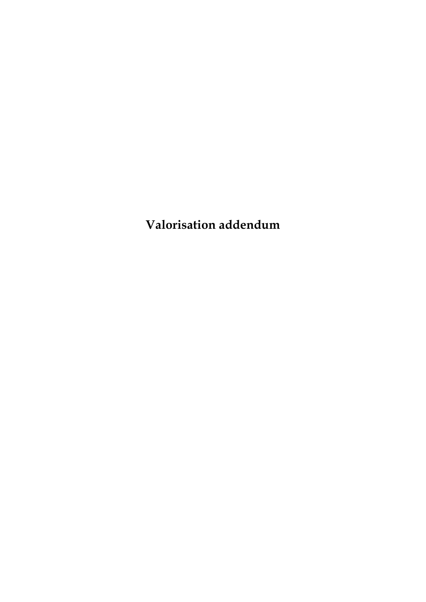**Valorisation addendum**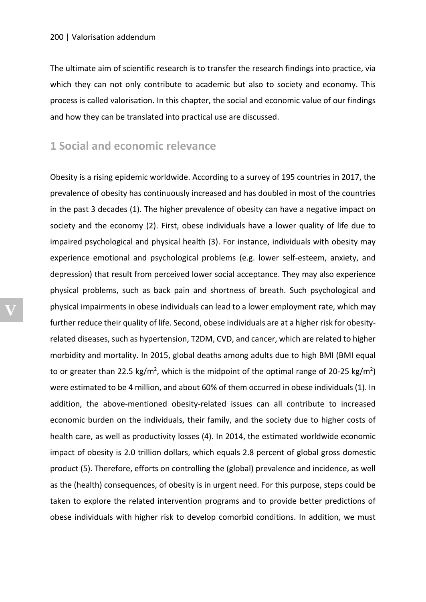The ultimate aim of scientific research is to transfer the research findings into practice, via which they can not only contribute to academic but also to society and economy. This process is called valorisation. In this chapter, the social and economic value of our findings and how they can be translated into practical use are discussed.

## **1 Social and economic relevance**

Obesity is a rising epidemic worldwide. According to a survey of 195 countries in 2017, the prevalence of obesity has continuously increased and has doubled in most of the countries in the past 3 decades (1). The higher prevalence of obesity can have a negative impact on society and the economy (2). First, obese individuals have a lower quality of life due to impaired psychological and physical health (3). For instance, individuals with obesity may experience emotional and psychological problems (e.g. lower self-esteem, anxiety, and depression) that result from perceived lower social acceptance. They may also experience physical problems, such as back pain and shortness of breath. Such psychological and physical impairments in obese individuals can lead to a lower employment rate, which may further reduce their quality of life. Second, obese individuals are at a higher risk for obesityrelated diseases, such as hypertension, T2DM, CVD, and cancer, which are related to higher morbidity and mortality. In 2015, global deaths among adults due to high BMI (BMI equal to or greater than 22.5 kg/m<sup>2</sup>, which is the midpoint of the optimal range of 20-25 kg/m<sup>2</sup>) were estimated to be 4 million, and about 60% of them occurred in obese individuals (1). In addition, the above-mentioned obesity-related issues can all contribute to increased economic burden on the individuals, their family, and the society due to higher costs of health care, as well as productivity losses (4). In 2014, the estimated worldwide economic impact of obesity is 2.0 trillion dollars, which equals 2.8 percent of global gross domestic product (5). Therefore, efforts on controlling the (global) prevalence and incidence, as well as the (health) consequences, of obesity is in urgent need. For this purpose, steps could be taken to explore the related intervention programs and to provide better predictions of obese individuals with higher risk to develop comorbid conditions. In addition, we must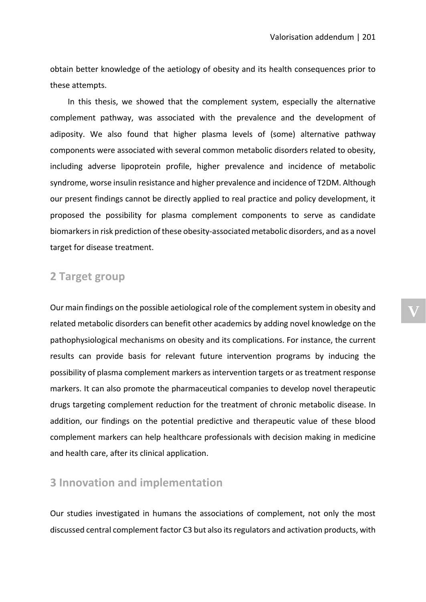obtain better knowledge of the aetiology of obesity and its health consequences prior to these attempts.

In this thesis, we showed that the complement system, especially the alternative complement pathway, was associated with the prevalence and the development of adiposity. We also found that higher plasma levels of (some) alternative pathway components were associated with several common metabolic disorders related to obesity, including adverse lipoprotein profile, higher prevalence and incidence of metabolic syndrome, worse insulin resistance and higher prevalence and incidence of T2DM. Although our present findings cannot be directly applied to real practice and policy development, it proposed the possibility for plasma complement components to serve as candidate biomarkers in risk prediction of these obesity-associated metabolic disorders, and as a novel target for disease treatment.

# **2 Target group**

Our main findings on the possible aetiological role of the complement system in obesity and related metabolic disorders can benefit other academics by adding novel knowledge on the pathophysiological mechanisms on obesity and its complications. For instance, the current results can provide basis for relevant future intervention programs by inducing the possibility of plasma complement markers as intervention targets or as treatment response markers. It can also promote the pharmaceutical companies to develop novel therapeutic drugs targeting complement reduction for the treatment of chronic metabolic disease. In addition, our findings on the potential predictive and therapeutic value of these blood complement markers can help healthcare professionals with decision making in medicine and health care, after its clinical application.

# **3 Innovation and implementation**

Our studies investigated in humans the associations of complement, not only the most discussed central complement factor C3 but also its regulators and activation products, with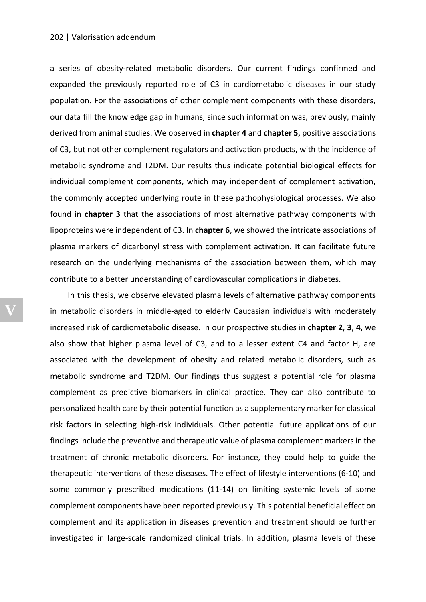## 202 | Valorisation addendum

**V**

a series of obesity-related metabolic disorders. Our current findings confirmed and expanded the previously reported role of C3 in cardiometabolic diseases in our study population. For the associations of other complement components with these disorders, our data fill the knowledge gap in humans, since such information was, previously, mainly derived from animal studies. We observed in **chapter 4** and **chapter 5**, positive associations of C3, but not other complement regulators and activation products, with the incidence of metabolic syndrome and T2DM. Our results thus indicate potential biological effects for individual complement components, which may independent of complement activation, the commonly accepted underlying route in these pathophysiological processes. We also found in **chapter 3** that the associations of most alternative pathway components with lipoproteins were independent of C3. In **chapter 6**, we showed the intricate associations of plasma markers of dicarbonyl stress with complement activation. It can facilitate future research on the underlying mechanisms of the association between them, which may contribute to a better understanding of cardiovascular complications in diabetes.

In this thesis, we observe elevated plasma levels of alternative pathway components in metabolic disorders in middle-aged to elderly Caucasian individuals with moderately increased risk of cardiometabolic disease. In our prospective studies in **chapter 2**, **3**, **4**, we also show that higher plasma level of C3, and to a lesser extent C4 and factor H, are associated with the development of obesity and related metabolic disorders, such as metabolic syndrome and T2DM. Our findings thus suggest a potential role for plasma complement as predictive biomarkers in clinical practice. They can also contribute to personalized health care by their potential function as a supplementary marker for classical risk factors in selecting high-risk individuals. Other potential future applications of our findings include the preventive and therapeutic value of plasma complement markers in the treatment of chronic metabolic disorders. For instance, they could help to guide the therapeutic interventions of these diseases. The effect of lifestyle interventions (6-10) and some commonly prescribed medications (11-14) on limiting systemic levels of some complement components have been reported previously. This potential beneficial effect on complement and its application in diseases prevention and treatment should be further investigated in large-scale randomized clinical trials. In addition, plasma levels of these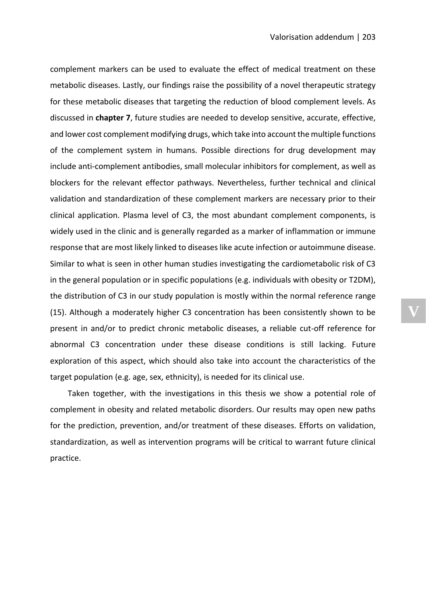complement markers can be used to evaluate the effect of medical treatment on these metabolic diseases. Lastly, our findings raise the possibility of a novel therapeutic strategy for these metabolic diseases that targeting the reduction of blood complement levels. As discussed in **chapter 7**, future studies are needed to develop sensitive, accurate, effective, and lower cost complement modifying drugs, which take into account the multiple functions of the complement system in humans. Possible directions for drug development may include anti-complement antibodies, small molecular inhibitors for complement, as well as blockers for the relevant effector pathways. Nevertheless, further technical and clinical validation and standardization of these complement markers are necessary prior to their clinical application. Plasma level of C3, the most abundant complement components, is widely used in the clinic and is generally regarded as a marker of inflammation or immune response that are most likely linked to diseases like acute infection or autoimmune disease. Similar to what is seen in other human studies investigating the cardiometabolic risk of C3 in the general population or in specific populations (e.g. individuals with obesity or T2DM), the distribution of C3 in our study population is mostly within the normal reference range (15). Although a moderately higher C3 concentration has been consistently shown to be present in and/or to predict chronic metabolic diseases, a reliable cut-off reference for abnormal C3 concentration under these disease conditions is still lacking. Future exploration of this aspect, which should also take into account the characteristics of the target population (e.g. age, sex, ethnicity), is needed for its clinical use.

Taken together, with the investigations in this thesis we show a potential role of complement in obesity and related metabolic disorders. Our results may open new paths for the prediction, prevention, and/or treatment of these diseases. Efforts on validation, standardization, as well as intervention programs will be critical to warrant future clinical practice.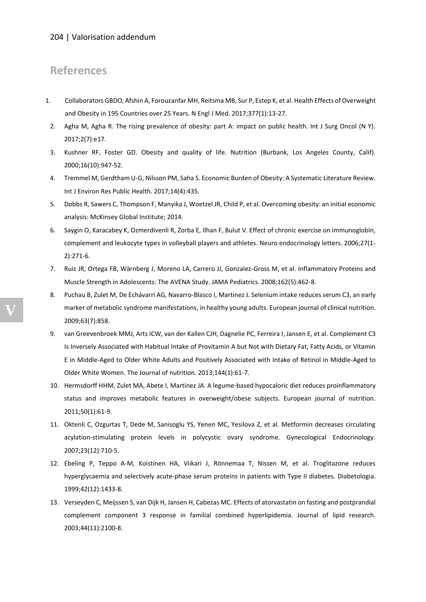## **References**

- 1. Collaborators GBDO, Afshin A, Forouzanfar MH, Reitsma MB, Sur P, Estep K, et al. Health Effects of Overweight and Obesity in 195 Countries over 25 Years. N Engl J Med. 2017;377(1):13-27.
- 2. Agha M, Agha R. The rising prevalence of obesity: part A: impact on public health. Int J Surg Oncol (N Y). 2017;2(7):e17.
- 3. Kushner RF, Foster GD. Obesity and quality of life. Nutrition (Burbank, Los Angeles County, Calif). 2000;16(10):947-52.
- 4. Tremmel M, Gerdtham U-G, Nilsson PM, Saha S. Economic Burden of Obesity: A Systematic Literature Review. Int J Environ Res Public Health. 2017;14(4):435.
- 5. Dobbs R, Sawers C, Thompson F, Manyika J, Woetzel JR, Child P, et al. Overcoming obesity: an initial economic analysis: McKinsey Global Institute; 2014.
- 6. Saygin O, Karacabey K, Ozmerdivenli R, Zorba E, Ilhan F, Bulut V. Effect of chronic exercise on immunoglobin, complement and leukocyte types in volleyball players and athletes. Neuro endocrinology letters. 2006;27(1- 2):271-6.
- 7. Ruiz JR, Ortega FB, Wärnberg J, Moreno LA, Carrero JJ, Gonzalez-Gross M, et al. Inflammatory Proteins and Muscle Strength in Adolescents: The AVENA Study. JAMA Pediatrics. 2008;162(5):462-8.
- 8. Puchau B, Zulet M, De Echávarri AG, Navarro-Blasco I, Martinez J. Selenium intake reduces serum C3, an early marker of metabolic syndrome manifestations, in healthy young adults. European journal of clinical nutrition. 2009;63(7):858.
- 9. van Greevenbroek MMJ, Arts ICW, van der Kallen CJH, Dagnelie PC, Ferreira I, Jansen E, et al. Complement C3 Is Inversely Associated with Habitual Intake of Provitamin A but Not with Dietary Fat, Fatty Acids, or Vitamin E in Middle-Aged to Older White Adults and Positively Associated with Intake of Retinol in Middle-Aged to Older White Women. The Journal of nutrition. 2013;144(1):61-7.
- 10. Hermsdorff HHM, Zulet MA, Abete I, Martínez JA. A legume-based hypocaloric diet reduces proinflammatory status and improves metabolic features in overweight/obese subjects. European journal of nutrition. 2011;50(1):61-9.
- 11. Oktenli C, Ozgurtas T, Dede M, Sanisoglu YS, Yenen MC, Yesilova Z, et al. Metformin decreases circulating acylation-stimulating protein levels in polycystic ovary syndrome. Gynecological Endocrinology. 2007;23(12):710-5.
- 12. Ebeling P, Teppo A-M, Koistinen HA, Viikari J, Rönnemaa T, Nissen M, et al. Troglitazone reduces hyperglycaemia and selectively acute-phase serum proteins in patients with Type II diabetes. Diabetologia. 1999;42(12):1433-8.
- 13. Verseyden C, Meijssen S, van Dijk H, Jansen H, Cabezas MC. Effects of atorvastatin on fasting and postprandial complement component 3 response in familial combined hyperlipidemia. Journal of lipid research. 2003;44(11):2100-8.